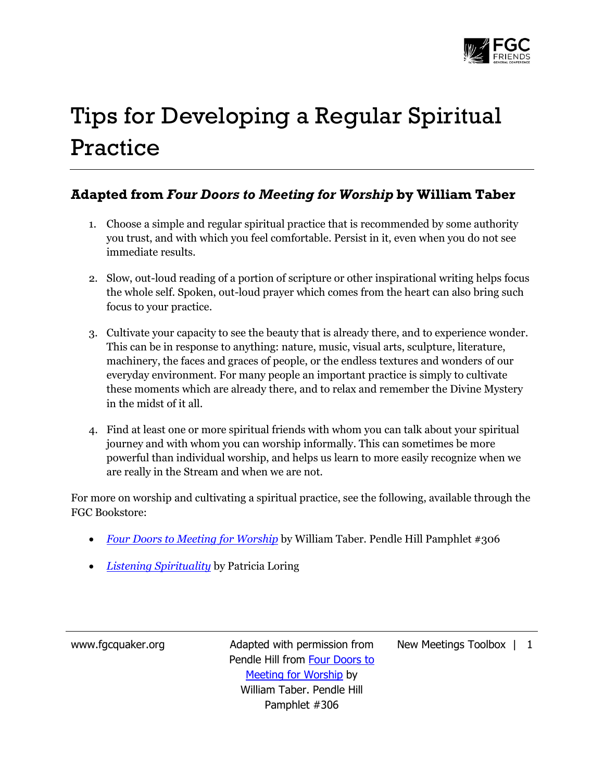

## Tips for Developing a Regular Spiritual Practice

## **Adapted from** *Four Doors to Meeting for Worship* **by William Taber**

- 1. Choose a simple and regular spiritual practice that is recommended by some authority you trust, and with which you feel comfortable. Persist in it, even when you do not see immediate results.
- 2. Slow, out-loud reading of a portion of scripture or other inspirational writing helps focus the whole self. Spoken, out-loud prayer which comes from the heart can also bring such focus to your practice.
- 3. Cultivate your capacity to see the beauty that is already there, and to experience wonder. This can be in response to anything: nature, music, visual arts, sculpture, literature, machinery, the faces and graces of people, or the endless textures and wonders of our everyday environment. For many people an important practice is simply to cultivate these moments which are already there, and to relax and remember the Divine Mystery in the midst of it all.
- 4. Find at least one or more spiritual friends with whom you can talk about your spiritual journey and with whom you can worship informally. This can sometimes be more powerful than individual worship, and helps us learn to more easily recognize when we are really in the Stream and when we are not.

For more on worship and cultivating a spiritual practice, see the following, available through the FGC Bookstore:

- *[Four Doors to Meeting for Worship](http://www.quakerbooks.org/four_doors_to_meeting_for_worship.php)* by William Taber. Pendle Hill Pamphlet #306
- *[Listening Spirituality](http://www.quakerbooks.org/listening_spirituality_volume_1.php)* by Patricia Loring

www.fgcquaker.org Madapted with permission from Pendle Hill from Four Doors to Meeting for Worship by William Taber. Pendle Hill Pamphlet #306

New Meetings Toolbox | 1